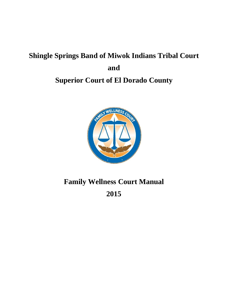# **Shingle Springs Band of Miwok Indians Tribal Court and Superior Court of El Dorado County**



# **Family Wellness Court Manual**

**2015**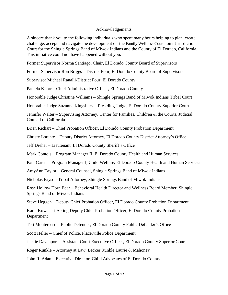#### Acknowledgements

A sincere thank you to the following individuals who spent many hours helping to plan, create, challenge, accept and navigate the development of the Family Wellness Court Joint Jurisdictional Court for the Shingle Springs Band of Miwok Indians and the County of El Dorado, California. This initiative could not have happened without you.

Former Supervisor Norma Santiago, Chair, El Dorado County Board of Supervisors

Former Supervisor Ron Briggs – District Four, El Dorado County Board of Supervisors

Supervisor Michael Ranalli-District Four, El Dorado County

Pamela Knorr – Chief Administrative Officer, El Dorado County

Honorable Judge Christine Williams – Shingle Springs Band of Miwok Indians Tribal Court

Honorable Judge Suzanne Kingsbury – Presiding Judge, El Dorado County Superior Court

Jennifer Walter – Supervising Attorney, Center for Families, Children & the Courts, Judicial Council of California

Brian Richart – Chief Probation Officer, El Dorado County Probation Department

Christy Lorente – Deputy District Attorney, El Dorado County District Attorney's Office

Jeff Dreher – Lieutenant, El Dorado County Sheriff's Office

Mark Contois – Program Manager II, El Dorado County Health and Human Services

Pam Carter – Program Manager I, Child Welfare, El Dorado County Health and Human Services

AmyAnn Taylor – General Counsel, Shingle Springs Band of Miwok Indians

Nicholas Bryson-Tribal Attorney, Shingle Springs Band of Miwok Indians

Rose Hollow Horn Bear – Behavioral Health Director and Wellness Board Member, Shingle Springs Band of Miwok Indians

Steve Heggen – Deputy Chief Probation Officer, El Dorado County Probation Department

Karla Kowalski-Acting Deputy Chief Probation Officer, El Dorado County Probation Department

Teri Monterosso – Public Defender, El Dorado County Public Defender's Office

Scott Heller – Chief of Police, Placerville Police Department

Jackie Davenport – Assistant Court Executive Officer, El Dorado County Superior Court

Roger Runkle – Attorney at Law, Becker Runkle Laurie & Mahoney

John R. Adams-Executive Director, Child Advocates of El Dorado County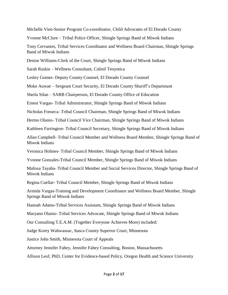Michelle Vien-Senior Program Co-coordinator, Child Advocates of El Dorado County

Yvonne McClure – Tribal Police Officer, Shingle Springs Band of Miwok Indians

Tony Cervantes, Tribal Services Coordinator and Wellness Board Chairman, Shingle Springs Band of Miwok Indians

Denise Williams-Clerk of the Court, Shingle Springs Band of Miwok Indians

Sarah Raskie – Wellness Consultant, Calmil Teoyotica

Lesley Gomes- Deputy County Counsel, El Dorado County Counsel

Moke Auwae – Sergeant Court Security, El Dorado County Sheriff's Department

Sheila Silan – SARB Chairperson, El Dorado County Office of Education

Ernest Vargas- Tribal Administrator, Shingle Springs Band of Miwok Indians

Nicholas Fonseca- Tribal Council Chairman, Shingle Springs Band of Miwok Indians

Hermo Olanio- Tribal Council Vice Chairman, Shingle Springs Band of Miwok Indians

Kathleen Farrington- Tribal Council Secretary, Shingle Springs Band of Miwok Indians

Allan Campbell- Tribal Council Member and Wellness Board Member, Shingle Springs Band of Miwok Indians

Veronica Holmes- Tribal Council Member, Shingle Springs Band of Miwok Indians

Yvonne Gonzales-Tribal Council Member, Shingle Springs Band of Miwok Indians

Malissa Tayaba- Tribal Council Member and Social Services Director, Shingle Springs Band of Miwok Indians

Regina Cuellar- Tribal Council Member, Shingle Springs Band of Miwok Indians

Armida Vargas-Training and Development Coordinator and Wellness Board Member, Shingle Springs Band of Miwok Indians

Hannah Adams-Tribal Services Assistant, Shingle Springs Band of Miwok Indians

Maryann Olanio- Tribal Services Advocate, Shingle Springs Band of Miwok Indians

Our Consulting T.E.A.M. (Together Everyone Achieves More) included:

Judge Korey Wahwassuc, Itasca County Superior Court, Minnesota

Justice John Smith, Minnesota Court of Appeals

Attorney Jennifer Fahey, Jennifer Fahey Consulting, Boston, Massachusetts

Allison Leof, PhD, Center for Evidence-based Policy, Oregon Health and Science University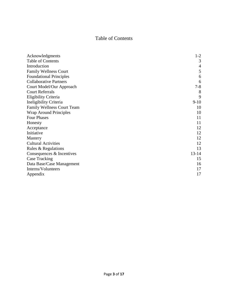# Table of Contents

| Acknowledgments                   | $1 - 2$        |
|-----------------------------------|----------------|
| Table of Contents                 | 3              |
| Introduction                      | $\overline{4}$ |
| <b>Family Wellness Court</b>      | 5              |
| <b>Foundational Principles</b>    | 6              |
| <b>Collaborative Partners</b>     | 6              |
| Court Model/Our Approach          | $7 - 8$        |
| <b>Court Referrals</b>            | 8              |
| Eligibility Criteria              | 9              |
| Ineligibility Criteria            | $9-10$         |
| <b>Family Wellness Court Team</b> | 10             |
| <b>Wrap Around Principles</b>     | 10             |
| <b>Four Phases</b>                | 11             |
| Honesty                           | 11             |
| Acceptance                        | 12             |
| Initiative                        | 12             |
| Mastery                           | 12             |
| <b>Cultural Activities</b>        | 12             |
| Rules & Regulations               | 13             |
| Consequences & Incentives         | $13 - 14$      |
| <b>Case Tracking</b>              | 15             |
| Data Base/Case Management         | 16             |
| Interns/Volunteers                | 17             |
| Appendix                          | 17             |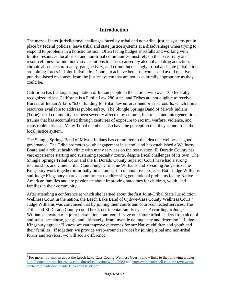## **Introduction**

The maze of inter-jurisdictional challenges faced by tribal and non-tribal justice systems put in place by federal policies, leave tribal and state justice systems at a disadvantage when trying to respond to problems in a holistic fashion. Often facing budget shortfalls and working with limited resources, local tribal and non-tribal communities must rely on their creativity and resourcefulness to find innovative solutions to issues caused by alcohol and drug addiction, chronic absenteeism/truancy, gang activity, and crime. Increasingly, tribal and state jurisdictions are joining forces in Joint Jurisdiction Courts to achieve better outcomes and avoid reactive, punitive-based responses from the justice system that are not as culturally appropriate as they could be.

California has the largest population of Indian people in the nation, with over 100 federally recognized tribes. California is a Public Law 280 state, and Tribes are not eligible to receive Bureau of Indian Affairs "638" funding for tribal law enforcement or tribal courts, which limits resources available to address public safety. The Shingle Springs Band of Miwok Indians (Tribe) tribal community has been severely affected by cultural, historical, and intergenerational trauma that has accumulated through centuries of exposure to racism, warfare, violence, and catastrophic disease. Many Tribal members also have the perception that they cannot trust the local justice system.

The Shingle Springs Band of Miwok Indians has committed to the idea that wellness is good governance. The Tribe promotes youth engagement in school, and has established a Wellness Board and a robust health clinic with many services on the reservation. El Dorado County has vast experience starting and sustaining specialty courts, despite fiscal challenges of its own. The Shingle Springs Tribal Court and the El Dorado County Superior Court have had a strong relationship, and Chief Tribal Court Judge Christine Williams and Presiding Judge Suzanne Kingsbury work together informally on a number of collaborative projects. Both Judge Williams and Judge Kingsbury share a commitment to addressing generational problems facing Native American families and are passionate about improving outcomes for children, youth, and families in their community.

After attending a conference at which she learned about the first Joint-Tribal State Jurisdiction Wellness Court in the nation, the Leech Lake Band of Ojibwe-Cass County Wellness Court, 1 Judge Williams was convinced that by joining their courts and court-connected services, The Tribe and El Dorado County could break detrimental family cycles. According to Judge Williams, creation of a joint jurisdiction court could "save our future tribal leaders from alcohol and substance abuse, gangs, and ultimately, from juvenile delinquency and detention." Judge Kingsbury agreed: "I know we can improve outcomes for our Native children and youth and their families. If together, we provide wrap-around services by joining tribal and non-tribal forces and services, we will see a difference."

 $\overline{\phantom{a}}$ 

<sup>&</sup>lt;sup>1</sup> For more information about the Leech Lake-Cass County Wellness Court, follow links to the following articles: <http://contentdm.washburnlaw.edu/cdm/ref/collection/wlj/id/5682> and [http://web.wmitchell.edu/law-review/wp](http://web.wmitchell.edu/law-review/wp-content/uploads/documents/13.Wahwassuck.pdf)[content/uploads/documents/13.Wahwassuck.pdf.](http://web.wmitchell.edu/law-review/wp-content/uploads/documents/13.Wahwassuck.pdf)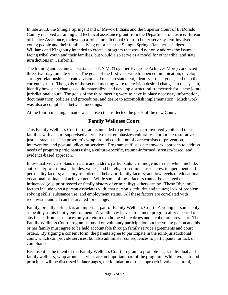In late 2013, the Shingle Springs Band of Miwok Indians and the Superior Court of El Dorado County received a training and technical assistance grant from the Department of Justice, Bureau of Justice Assistance, to develop a Joint Jurisdictional Court to better serve system-involved young people and their families living on or near the Shingle Springs Rancheria. Judges Williams and Kingsbury intended to create a program that would not only address the issues facing tribal youth and their families, but would also serve as a model for other tribal and state jurisdictions in California.

The training and technical assistance T.E.A.M. (Together Everyone Achieves More) conducted three, two-day, on-site visits. The goals of the first visit were to open communication, develop stronger relationships, create a vision and mission statement, identify project goals, and map the current system. The goals of the second meeting were to envision desired changes in the system, identify how such changes could materialize, and develop a structural framework for a new jointjurisdictional court. The goals of the third meeting were to have in place necessary information, documentation, policies and procedures, and desire to accomplish implementation. Much work was also accomplished between meetings.

At the fourth meeting, a name was chosen that reflected the goals of the new Court.

# **Family Wellness Court**

This Family Wellness Court program is intended to provide system-involved youth and their families with a court-supervised alternative that emphasizes culturally-appropriate restorative justice practices. The program's wrap-around continuum of care consists of prevention, intervention, and post-adjudication services. Program staff uses a teamwork approach to address needs of program participants using a culture-specific, trauma-informed, strength-based, and evidence-based approach.

Individualized case plans measure and address participants' criminogenic needs, which include: antisocial/pro-criminal attitudes, values, and beliefs; pro-criminal associates; temperament and personality factors; a history of antisocial behavior; family factors; and low levels of educational, vocational or financial achievement. While some of these factors cannot be changed or influenced (e.g. prior record or family history of criminality), others can be. These "dynamic" factors include who a person associates with, that person's attitudes and values; lack of problem solving skills; substance use; and employment status. All these factors are correlated with recidivism, and all can be targeted for change.

Family, broadly defined, is an important part of Family Wellness Court. A young person is only as healthy as his family environment. A youth may leave a treatment program after a period of abstinence from substances only to return to a home where drugs and alcohol are prevalent. The Family Wellness Court program is based on voluntary participation but the young person and his or her family must agree to be held accountable through family service agreements and court orders. By signing a consent form, the parents agree to participate in the joint-jurisdictional court, which can provide services, but also administer consequences to participants for lack of compliance.

Because it is the intent of the Family Wellness Court program to promote legal, individual and family wellness, wrap around services are an important part of the program. While wrap around principles will be discussed in later pages, the foundation of this approach involves cultural,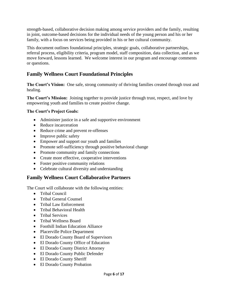strength-based, collaborative decision making among service providers and the family, resulting in joint, outcome-based decisions for the individual needs of the young person and his or her family, with a focus on services being provided in his or her cultural community.

This document outlines foundational principles, strategic goals, collaborative partnerships, referral process, eligibility criteria, program model, staff composition, data collection, and as we move forward, lessons learned. We welcome interest in our program and encourage comments or questions.

# **Family Wellness Court Foundational Principles**

**The Court's Vision:** One safe, strong community of thriving families created through trust and healing.

**The Court's Mission:** Joining together to provide justice through trust, respect, and love by empowering youth and families to create positive change.

### **The Court's Project Goals:**

- Administer justice in a safe and supportive environment
- Reduce incarceration
- Reduce crime and prevent re-offenses
- Improve public safety
- Empower and support our youth and families
- Promote self-sufficiency through positive behavioral change
- Promote community and family connections
- Create more effective, cooperative interventions
- Foster positive community relations
- Celebrate cultural diversity and understanding

## **Family Wellness Court Collaborative Partners**

The Court will collaborate with the following entities:

- Tribal Council
- Tribal General Counsel
- Tribal Law Enforcement
- Tribal Behavioral Health
- Tribal Services
- Tribal Wellness Board
- Foothill Indian Education Alliance
- Placerville Police Department
- El Dorado County Board of Supervisors
- El Dorado County Office of Education
- El Dorado County District Attorney
- El Dorado County Public Defender
- El Dorado County Sheriff
- El Dorado County Probation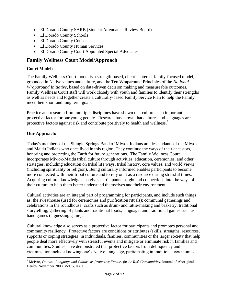- El Dorado County SARB (Student Attendance Review Board)
- El Dorado County Schools
- El Dorado County Counsel
- El Dorado County Human Services
- El Dorado County Court Appointed Special Advocates

## **Family Wellness Court Model/Approach**

#### **Court Model:**

The Family Wellness Court model is a strength-based, client-centered, family-focused model, grounded in Native values and culture, and the Ten Wraparound Principles of the *National Wraparound Initiative,* based on data-driven decision making and measureable outcomes. Family Wellness Court staff will work closely with youth and families to identify their strengths as well as needs and together create a culturally-based Family Service Plan to help the Family meet their short and long term goals.

Practice and research from multiple disciplines have shown that culture is an important protective factor for our young people. Research has shown that cultures and languages are protective factors against risk and contribute positively to health and wellness.<sup>2</sup>

#### **Our Approach:**

Today's members of the Shingle Springs Band of Miwok Indians are descendants of the Miwok and Maidu Indians who once lived in this region. They continue the ways of their ancestors, honoring and protecting the Earth for future generations. The Family Wellness Court incorporates Miwok-Maidu tribal culture through activities, education, ceremonies, and other strategies, including education on tribal life ways, tribal history, core values, and world views (including spirituality or religion). Being culturally informed enables participants to become more connected with their tribal culture and to rely on it as a resource during stressful times. Acquiring cultural knowledge also gives participants insight and connections into the ways of their culture to help them better understand themselves and their environment.

Cultural activities are an integral part of programming for participants, and include such things as: the sweathouse (used for ceremonies and purification rituals); communal gatherings and celebrations in the roundhouse; crafts such as drum- and rattle-making and basketry; traditional storytelling; gathering of plants and traditional foods; language; and traditional games such as hand games (a guessing game).

Cultural knowledge also serves as a protective factor for participants and promotes personal and community resiliency. Protective factors are conditions or attributes (skills, strengths, resources, supports or coping strategies) in individuals, families, communities or the larger society that help people deal more effectively with stressful events and mitigate or eliminate risk in families and communities. Studies have demonstrated that protective factors from delinquency and victimization include knowing one's Native Language, participating in traditional ceremonies,

 $\overline{\phantom{a}}$ <sup>2</sup> McIvor, Onowa. *Language and Culture as Protective Factors for At-Risk Communities*, Journal of Aboriginal Health, November 2008, Vol. 5, Issue 1.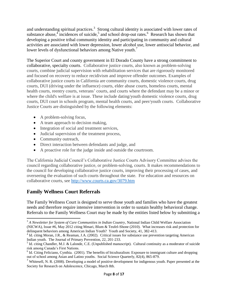and understanding spiritual practices.<sup>3</sup> Strong cultural identity is associated with lower rates of substance abuse,  $\frac{4}{3}$  incidences of suicide,  $\frac{5}{3}$  and school drop-out rates.  $\frac{6}{3}$  Research has shown that developing a positive tribal community identity and participating in community and cultural activities are associated with lower depression, lower alcohol use, lower antisocial behavior, and lower levels of dysfunctional behaviors among Native youth.<sup>7</sup>

The Superior Court and county government in El Dorado County have a strong commitment to collaborative, specialty courts. Collaborative justice courts, also known as problem-solving courts, combine judicial supervision with rehabilitation services that are rigorously monitored and focused on recovery to reduce recidivism and improve offender outcomes. Examples of collaborative justice courts in California are community courts, domestic violence courts, drug courts, DUI (driving under the influence) courts, elder abuse courts, homeless courts, mental health courts, reentry courts, veterans' courts, and courts where the defendant may be a minor or where the child's welfare is at issue. These include dating/youth domestic violence courts, drug courts, DUI court in schools program, mental health courts, and peer/youth courts. Collaborative Justice Courts are distinguished by the following elements:

- A problem-solving focus,
- A team approach to decision making,
- Integration of social and treatment services,
- Judicial supervision of the treatment process,
- Community outreach,
- Direct interaction between defendants and judge, and
- A proactive role for the judge inside and outside the courtroom.

The California Judicial Council's Collaborative Justice Courts Advisory Committee advises the council regarding collaborative justice, or problem-solving, courts. It makes recommendations to the council for developing collaborative justice courts, improving their processing of cases, and overseeing the evaluation of such courts throughout the state. For education and resources on collaborative courts, see<http://www.courts.ca.gov/3079.htm>

## **Family Wellness Court Referrals**

The Family Wellness Court is designed to serve those youth and families who have the greatest needs and therefore require intensive intervention in order to sustain healthy behavioral change. Referrals to the Family Wellness Court may be made by the entities listed below by submitting a

 $\overline{\phantom{a}}$ <sup>3</sup> A Newsletter for System of Care Communities in Indian Country, National Indian Child Welfare Association (NICWA), Issue #6, May 2012 citing Mmari, Blum & Teufel-Shone (2010). What increases risk and protection for delinquent behaviors among American Indian Youth? Youth and Society, 41, 382-413.

<sup>&</sup>lt;sup>4</sup> Id. citing Moran, J.R., & Reaman, J.A. (2002). Critical issues for substance use prevention targeting American Indian youth. The Journal of Primary Prevention, 22, 201-233.

<sup>&</sup>lt;sup>5</sup> Id. citing Chandler, M.J. & Lalonde, C.E. (Unpublished manuscript). Cultural continuity as a moderator of suicide risk among Canada's First Nations.

 $<sup>6</sup>$  Id. Citing Feliciano, Cynthia. (2001). The benefits of biculturalism: Exposure to immigrant culture and dropping</sup> out of school among Asian and Latino youths. Social Science Quarterly, 82(4), 865-879.

<sup>&</sup>lt;sup>7</sup> Whitesell, N. R. (2008). Developing a model of positive development for indigenous youth. Paper presented at the Society for Research on Adolescence, Chicago, March 8th.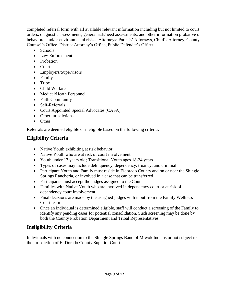completed referral form with all available relevant information including but not limited to court orders, diagnostic assessments, general risk/need assessments, and other information probative of behavioral and/or environmental risk... Attorneys: Parents' Attorneys, Child's Attorney, County Counsel's Office, District Attorney's Office, Public Defender's Office

- Schools
- Law Enforcement
- Probation
- Court
- Employers/Supervisors
- Family
- Tribe
- Child Welfare
- Medical/Heath Personnel
- Faith Community
- Self-Referrals
- Court Appointed Special Advocates (CASA)
- Other jurisdictions
- Other

Referrals are deemed eligible or ineligible based on the following criteria:

# **Eligibility Criteria**

- Native Youth exhibiting at risk behavior
- Native Youth who are at risk of court involvement
- Youth under 17 years old; Transitional Youth ages 18-24 years
- Types of cases may include delinquency, dependency, truancy, and criminal
- Participant Youth and Family must reside in Eldorado County and on or near the Shingle Springs Rancheria, or involved in a case that can be transferred
- Participants must accept the judges assigned to the Court
- Families with Native Youth who are involved in dependency court or at risk of dependency court involvement
- Final decisions are made by the assigned judges with input from the Family Wellness Court team
- Once an individual is determined eligible, staff will conduct a screening of the Family to identify any pending cases for potential consolidation. Such screening may be done by both the County Probation Department and Tribal Representatives.

# **Ineligibility Criteria**

Individuals with no connection to the Shingle Springs Band of Miwok Indians or not subject to the jurisdiction of El Dorado County Superior Court.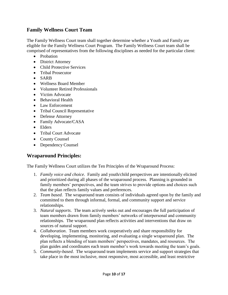## **Family Wellness Court Team**

The Family Wellness Court team shall together determine whether a Youth and Family are eligible for the Family Wellness Court Program. The Family Wellness Court team shall be comprised of representatives from the following disciplines as needed for the particular client:

- Probation
- District Attorney
- Child Protective Services
- Tribal Prosecutor
- SARB
- Wellness Board Member
- Volunteer Retired Professionals
- Victim Advocate
- Behavioral Health
- Law Enforcement
- Tribal Council Representative
- Defense Attorney
- Family Advocate/CASA
- Elders
- Tribal Court Advocate
- County Counsel
- Dependency Counsel

## **Wraparound Principles:**

The Family Wellness Court utilizes the Ten Principles of the Wraparound Process:

- 1. *Family voice and choice*. Family and youth/child perspectives are intentionally elicited and prioritized during all phases of the wraparound process. Planning is grounded in family members' perspectives, and the team strives to provide options and choices such that the plan reflects family values and preferences.
- 2. *Team based*. The wraparound team consists of individuals agreed upon by the family and committed to them through informal, formal, and community support and service relationships.
- 3. *Natural supports*. The team actively seeks out and encourages the full participation of team members drawn from family members' networks of interpersonal and community relationships. The wraparound plan reflects activities and interventions that draw on sources of natural support.
- 4. *Collaboration*. Team members work cooperatively and share responsibility for developing, implementing, monitoring, and evaluating a single wraparound plan. The plan reflects a blending of team members' perspectives, mandates, and resources. The plan guides and coordinates each team member's work towards meeting the team's goals.
- 5. *Community-based*. The wraparound team implements service and support strategies that take place in the most inclusive, most responsive, most accessible, and least restrictive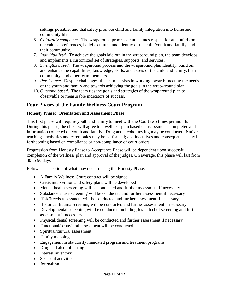settings possible; and that safely promote child and family integration into home and community life.

- 6. *Culturally competent*. The wraparound process demonstrates respect for and builds on the values, preferences, beliefs, culture, and identity of the child/youth and family, and their community.
- 7. *Individualized*. To achieve the goals laid out in the wraparound plan, the team develops and implements a customized set of strategies, supports, and services.
- 8. *Strengths based*. The wraparound process and the wraparound plan identify, build on, and enhance the capabilities, knowledge, skills, and assets of the child and family, their community, and other team members.
- 9. *Persistence*. Despite challenges, the team persists in working towards meeting the needs of the youth and family and towards achieving the goals in the wrap-around plan.
- 10. *Outcome based*. The team ties the goals and strategies of the wraparound plan to observable or measurable indicators of success.

## **Four Phases of the Family Wellness Court Program**

#### **Honesty Phase: Orientation and Assessment Phase**

This first phase will require youth and family to meet with the Court two times per month. During this phase, the client will agree to a wellness plan based on assessments completed and information collected on youth and family. Drug and alcohol testing may be conducted; Native teachings, activities and ceremonies may be performed; and incentives and consequences may be forthcoming based on compliance or non-compliance of court orders.

Progression from Honesty Phase to Acceptance Phase will be dependent upon successful completion of the wellness plan and approval of the judges. On average, this phase will last from 30 to 90 days.

Below is a selection of what may occur during the Honesty Phase.

- A Family Wellness Court contract will be signed
- Crisis intervention and safety plans will be developed
- Mental health screening will be conducted and further assessment if necessary
- Substance abuse screening will be conducted and further assessment if necessary
- Risk/Needs assessment will be conducted and further assessment if necessary
- Historical trauma screening will be conducted and further assessment if necessary
- Developmental screening will be conducted including fetal alcohol screening and further assessment if necessary
- Physical/dental screening will be conducted and further assessment if necessary
- Functional/behavioral assessment will be conducted
- Spiritual/cultural assessment
- Family mapping
- Engagement in statutorily mandated program and treatment programs
- Drug and alcohol testing
- Interest inventory
- Seasonal activities
- Journaling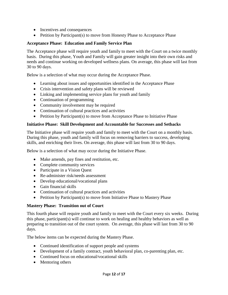- Incentives and consequences
- $\bullet$  Petition by Participant(s) to move from Honesty Phase to Acceptance Phase

#### **Acceptance Phase: Education and Family Service Plan**

The Acceptance phase will require youth and family to meet with the Court on a twice monthly basis. During this phase, Youth and Family will gain greater insight into their own risks and needs and continue working on developed wellness plans. On average, this phase will last from 30 to 90 days.

Below is a selection of what may occur during the Acceptance Phase.

- Learning about issues and opportunities identified in the Acceptance Phase
- Crisis intervention and safety plans will be reviewed
- Linking and implementing service plans for youth and family
- Continuation of programming
- Community involvement may be required
- Continuation of cultural practices and activities
- Petition by Participant(s) to move from Acceptance Phase to Initiative Phase

#### **Initiative Phase: Skill Development and Accountable for Successes and Setbacks**

The Initiative phase will require youth and family to meet with the Court on a monthly basis. During this phase, youth and family will focus on removing barriers to success, developing skills, and enriching their lives. On average, this phase will last from 30 to 90 days.

Below is a selection of what may occur during the Initiative Phase.

- Make amends, pay fines and restitution, etc.
- Complete community services
- Participate in a Vision Quest
- Re-administer risk/needs assessment
- Develop educational/vocational plans
- Gain financial skills
- Continuation of cultural practices and activities
- Petition by Participant(s) to move from Initiative Phase to Mastery Phase

#### **Mastery Phase: Transition out of Court**

This fourth phase will require youth and family to meet with the Court every six weeks. During this phase, participant(s) will continue to work on healing and healthy behaviors as well as preparing to transition out of the court system. On average, this phase will last from 30 to 90 days.

The below items can be expected during the Mastery Phase.

- Continued identification of support people and systems
- Development of a family contract, youth behavioral plan, co-parenting plan, etc.
- Continued focus on educational/vocational skills
- Mentoring others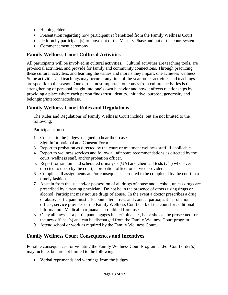- Helping elders
- Presentation regarding how participant(s) benefitted from the Family Wellness Court
- Petition by participant(s) to move out of the Mastery Phase and out of the court system
- Commencement ceremony!

# **Family Wellness Court Cultural Activities**

All participants will be involved in cultural activities... Cultural activities are teaching tools, are pro-social activities, and provide for family and community connections. Through practicing these cultural activities, and learning the values and morals they impart, one achieves wellness. Some activities and teachings may occur at any time of the year, other activities and teachings are specific to the season. One of the most important outcomes from cultural activities is the strengthening of personal insight into one's own behavior and how it affects relationships by providing a place where each person finds trust, identity, initiative, purpose, generosity and belonging/interconnectedness.

## **Family Wellness Court Rules and Regulations**

The Rules and Regulations of Family Wellness Court include, but are not limited to the following:

Participants must:

- 1. Consent to the judges assigned to hear their case.
- 2. Sign Informational and Consent Form.
- 3. Report to probation as directed by the court or treatment wellness staff if applicable
- 4. Report to wellness services and follow all aftercare recommendations as directed by the court, wellness staff, and/or probation officer.
- 5. Report for random and scheduled urinalysis (UA) and chemical tests (CT) whenever directed to do so by the court, a probation officer or service provider.
- 6. Complete all assignments and/or consequences ordered to be completed by the court in a timely fashion.
- 7. Abstain from the use and/or possession of all drugs of abuse and alcohol, unless drugs are prescribed by a treating physician. Do not be in the presence of others using drugs or alcohol. Participant may not use drugs of abuse. In the event a doctor prescribes a drug of abuse, participant must ask about alternatives and contact participant's probation officer, service provider or the Family Wellness Court clerk of the court for additional information. Medical marijuana is prohibited from use.
- 8. Obey all laws. If a participant engages in a criminal act, he or she can be prosecuted for the new offense(s) and can be discharged from the Family Wellness Court program.
- 9. Attend school or work as required by the Family Wellness Court.

## **Family Wellness Court Consequences and Incentives**

Possible consequences for violating the Family Wellness Court Program and/or Court order(s) may include, but are not limited to the following:

Verbal reprimands and warnings from the judges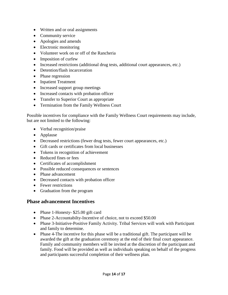- Written and or oral assignments
- Community service
- Apologies and amends
- Electronic monitoring
- Volunteer work on or off of the Rancheria
- Imposition of curfew
- Increased restrictions (additional drug tests, additional court appearances, etc.)
- Detention/flash incarceration
- Phase regression
- Inpatient Treatment
- Increased support group meetings
- Increased contacts with probation officer
- Transfer to Superior Court as appropriate
- Termination from the Family Wellness Court

Possible incentives for compliance with the Family Wellness Court requirements may include, but are not limited to the following:

- Verbal recognition/praise
- Applause
- Decreased restrictions (fewer drug tests, fewer court appearances, etc.)
- Gift cards or certificates from local businesses
- Tokens in recognition of achievement
- Reduced fines or fees
- Certificates of accomplishment
- Possible reduced consequences or sentences
- Phase advancement
- Decreased contacts with probation officer
- Fewer restrictions
- Graduation from the program

## **Phase advancement Incentives**

- Phase 1-Honesty- \$25.00 gift card
- Phase 2-Accountabilty-Incentive of choice, not to exceed \$50.00
- Phase 3-Initiative-Positive Family Activity. Tribal Services will work with Participant and family to determine.
- Phase 4-The incentive for this phase will be a traditional gift. The participant will be awarded the gift at the graduation ceremony at the end of their final court appearance. Family and community members will be invited at the discretion of the participant and family. Food will be provided as well as individuals speaking on behalf of the progress and participants successful completion of their wellness plan.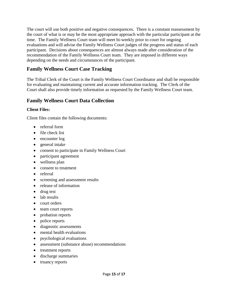The court will use both positive and negative consequences. There is a constant reassessment by the court of what is or may be the most appropriate approach with the particular participant at the time. The Family Wellness Court team will meet bi-weekly prior to court for ongoing evaluations and will advise the Family Wellness Court judges of the progress and status of each participant. Decisions about consequences are almost always made after consideration of the recommendation of the Family Wellness Court team. They are imposed in different ways depending on the needs and circumstances of the participant.

## **Family Wellness Court Case Tracking**

The Tribal Clerk of the Court is the Family Wellness Court Coordinator and shall be responsible for evaluating and maintaining current and accurate information tracking. The Clerk of the Court shall also provide timely information as requested by the Family Wellness Court team.

## **Family Wellness Court Data Collection**

#### **Client Files:**

Client files contain the following documents:

- referral form
- file check list
- encounter log
- general intake
- consent to participate in Family Wellness Court
- participant agreement
- wellness plan
- consent to treatment
- referral
- screening and assessment results
- release of information
- drug test
- lab results
- court orders
- team court reports
- probation reports
- police reports
- diagnostic assessments
- mental health evaluations
- psychological evaluations
- assessment (substance abuse) recommendations
- treatment reports
- discharge summaries
- truancy reports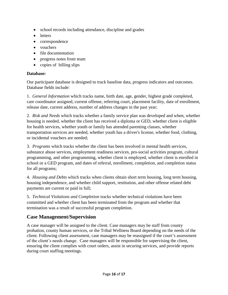- school records including attendance, discipline and grades
- letters
- correspondence
- vouchers
- file documentation
- progress notes from team
- copies of billing slips

#### **Database:**

Our participant database is designed to track baseline data, progress indicators and outcomes. Database fields include:

1. *General Information* which tracks name, birth date, age, gender, highest grade completed, care coordinator assigned, current offense, referring court, placement facility, date of enrollment, release date, current address, number of address changes in the past year;

2. *Risk and Needs* which tracks whether a family service plan was developed and when, whether housing is needed, whether the client has received a diploma or GED, whether client is eligible for health services, whether youth or family has attended parenting classes, whether transportation services are needed, whether youth has a driver's license, whether food, clothing, or incidental vouchers are needed;

3. *Programs* which tracks whether the client has been involved in mental health services, substance abuse services, employment readiness services, pro-social activities program, cultural programming, and other programming, whether client is employed, whether client is enrolled in school or a GED program, and dates of referral, enrollment, completion, and completion status for all programs;

4. *Housing and Debts* which tracks when clients obtain short term housing, long term housing, housing independence, and whether child support, restitution, and other offense related debt payments are current or paid in full;

5. *Technical Violations and Completion* tracks whether technical violations have been committed and whether client has been terminated from the program and whether that termination was a result of successful program completion.

## **Case Management/Supervision**

A case manager will be assigned to the client. Case managers may be staff from county probation, county human services, or the Tribal Wellness Board depending on the needs of the client. Following client assessment, case managers may be reassigned if the court's assessment of the client's needs change. Case managers will be responsible for supervising the client, ensuring the client complies with court orders, assist in securing services, and provide reports during court staffing meetings.